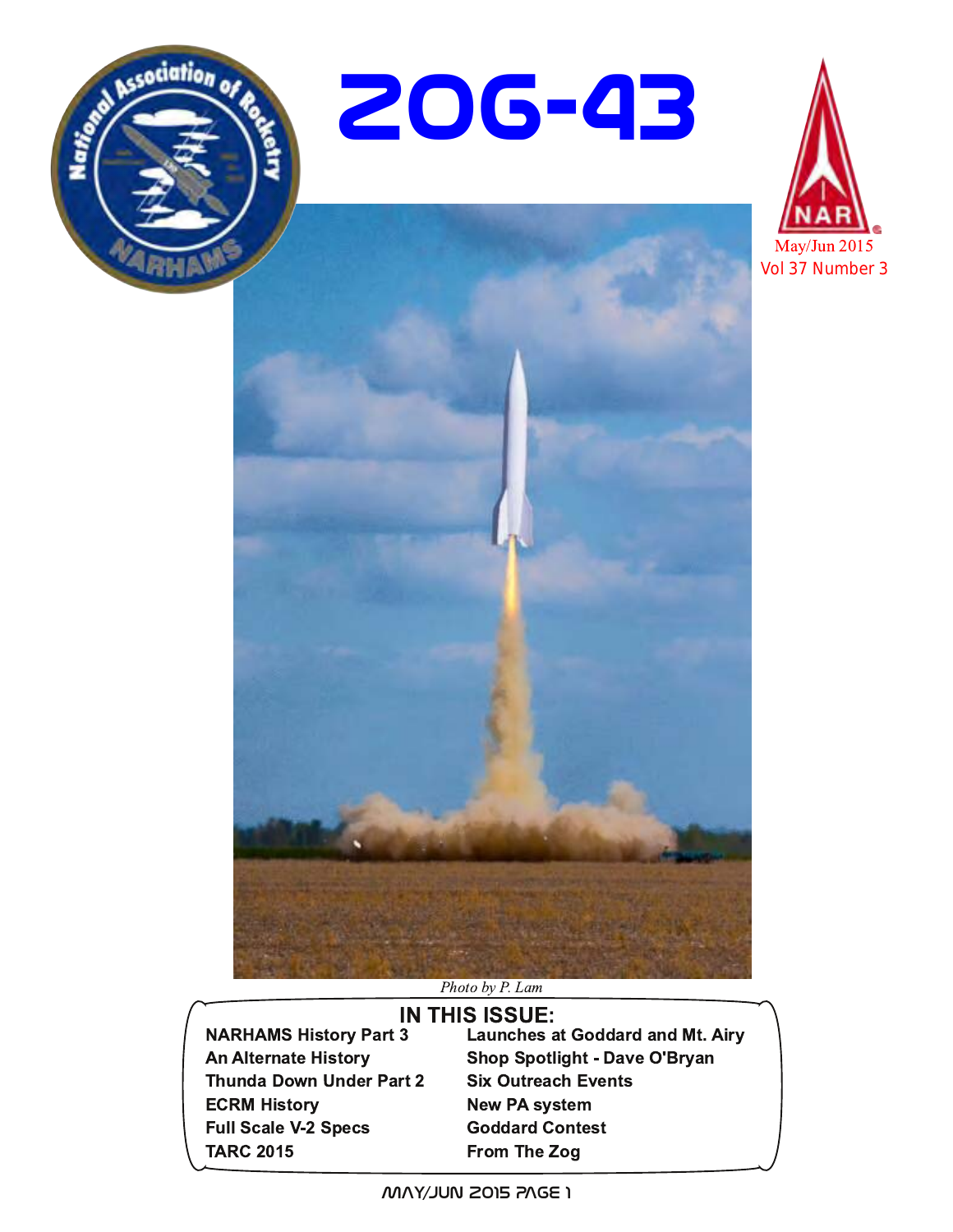







#### Photo by P. Lam

**NARHAMS History Part 3 An Alternate History Thunda Down Under Part 2 ECRM History Full Scale V-2 Specs TARC 2015** 

**IN THIS ISSUE: Launches at Goddard and Mt. Airy Shop Spotlight - Dave O'Bryan Six Outreach Events New PA system Goddard Contest** From The Zog

I 30NS 210D MULY/YAM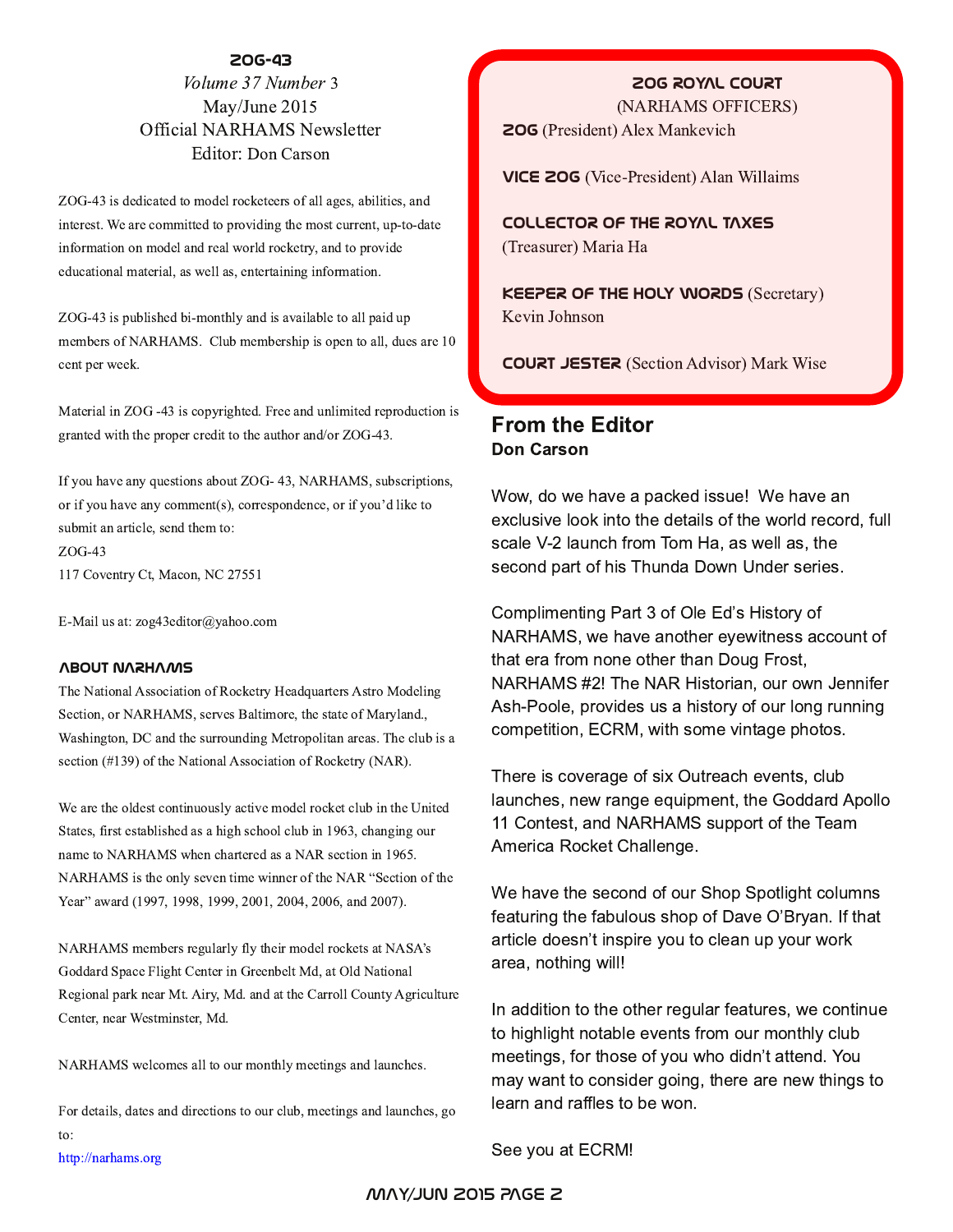#### **Zog-43**

#### Volume 37 Number 3 May/June 2015 Official NARHAMS Newsletter Editor: Don Carson

ZOG-43 is dedicated to model rocketeers of all ages, abilities, and interest. We are committed to providing the most current, up-to-date information on model and real world rocketry, and to provide educational material, as well as, entertaining information.

ZOG-43 is published bi-monthly and is available to all paid up members of NARHAMS. Club membership is open to all, dues are 10 cent per week.

Material in ZOG -43 is copyrighted. Free and unlimited reproduction is granted with the proper credit to the author and/or ZOG-43.

If you have any questions about ZOG- 43, NARHAMS, subscriptions, or if you have any comment(s), correspondence, or if you'd like to submit an article, send them to: ZOG-43 117 Coventry Ct, Macon, NC 27551

E-Mail us at: zog43editor@yahoo.com

#### **About NARHAMS**

The National Association of Rocketry Headquarters Astro Modeling Section, or NARHAMS, serves Baltimore, the state of Maryland., Washington, DC and the surrounding Metropolitan areas. The club is a section (#139) of the National Association of Rocketry (NAR).

We are the oldest continuously active model rocket club in the United States, first established as a high school club in 1963, changing our name to NARHAMS when chartered as a NAR section in 1965. NARHAMS is the only seven time winner of the NAR "Section of the Year" award (1997, 1998, 1999, 2001, 2004, 2006, and 2007).

NARHAMS members regularly fly their model rockets at NASA's Goddard Space Flight Center in Greenbelt Md, at Old National Regional park near Mt. Airy, Md. and at the Carroll County Agriculture Center, near Westminster, Md.

NARHAMS welcomes all to our monthly meetings and launches.

For details, dates and directions to our club, meetings and launches, go to:

http://narhams.org

#### **ZOG ROYAL COURT**

(NARHAMS OFFICERS) **ZOG** (President) Alex Mankevich

**VICE 206** (Vice-President) Alan Willaims

**COLLECTOR OF THE ROYAL TAXES** (Treasurer) Maria Ha

**KEEPER OF THE HOLY WORDS (Secretary)** Kevin Johnson

**COURT JESTER** (Section Advisor) Mark Wise

#### **From the Editor Don Carson**

Wow, do we have a packed issue! We have an exclusive look into the details of the world record, full scale V-2 launch from Tom Ha, as well as, the second part of his Thunda Down Under series.

Complimenting Part 3 of Ole Ed's History of NARHAMS, we have another eyewitness account of that era from none other than Doug Frost, NARHAMS #2! The NAR Historian, our own Jennifer Ash-Poole, provides us a history of our long running competition, ECRM, with some vintage photos.

There is coverage of six Outreach events, club launches, new range equipment, the Goddard Apollo 11 Contest, and NARHAMS support of the Team America Rocket Challenge.

We have the second of our Shop Spotlight columns featuring the fabulous shop of Dave O'Bryan. If that article doesn't inspire you to clean up your work area, nothing will!

In addition to the other regular features, we continue to highlight notable events from our monthly club meetings, for those of you who didn't attend. You may want to consider going, there are new things to learn and raffles to be won.

See you at ECRM!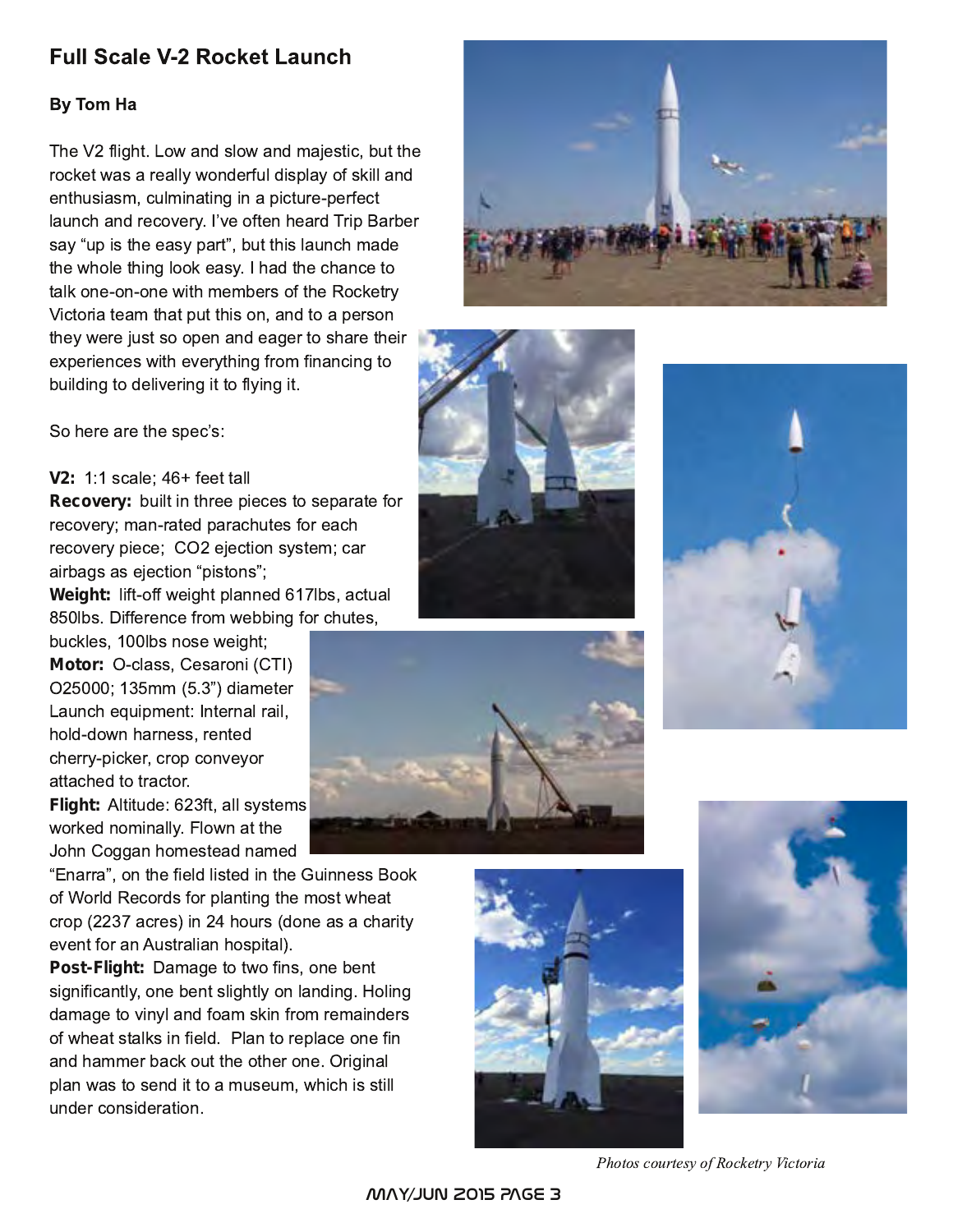# **Full Scale V-2 Rocket Launch**

#### By Tom Ha

The V2 flight. Low and slow and majestic, but the rocket was a really wonderful display of skill and enthusiasm, culminating in a picture-perfect launch and recovery. I've often heard Trip Barber say "up is the easy part", but this launch made the whole thing look easy. I had the chance to talk one-on-one with members of the Rocketry Victoria team that put this on, and to a person they were just so open and eager to share their experiences with everything from financing to building to delivering it to flying it.



#### **V2: 1:1 scale; 46+ feet tall**

**Recovery:** built in three pieces to separate for recovery; man-rated parachutes for each recovery piece; CO2 ejection system; car airbags as ejection "pistons"; Weight: lift-off weight planned 617lbs, actual

850lbs. Difference from webbing for chutes, buckles, 100lbs nose weight; Motor: **O-class, Cesaroni (CTI)** O25000; 135mm (5.3") diameter Launch equipment: Internal rail, hold-down harness, rented cherry-picker, crop conveyor attached to tractor.

**Flight: Altitude: 623ft, all systems** worked nominally. Flown at the John Coggan homestead named

"Enarra", on the field listed in the Guinness Book of World Records for planting the most wheat crop (2237 acres) in 24 hours (done as a charity event for an Australian hospital).

Post-Flight: **Damage to two fins, one bent** significantly, one bent slightly on landing. Holing damage to vinyl and foam skin from remainders of wheat stalks in field. Plan to replace one fin and hammer back out the other one. Original plan was to send it to a museum, which is still under consideration.











Photos courtesy of Rocketry Victoria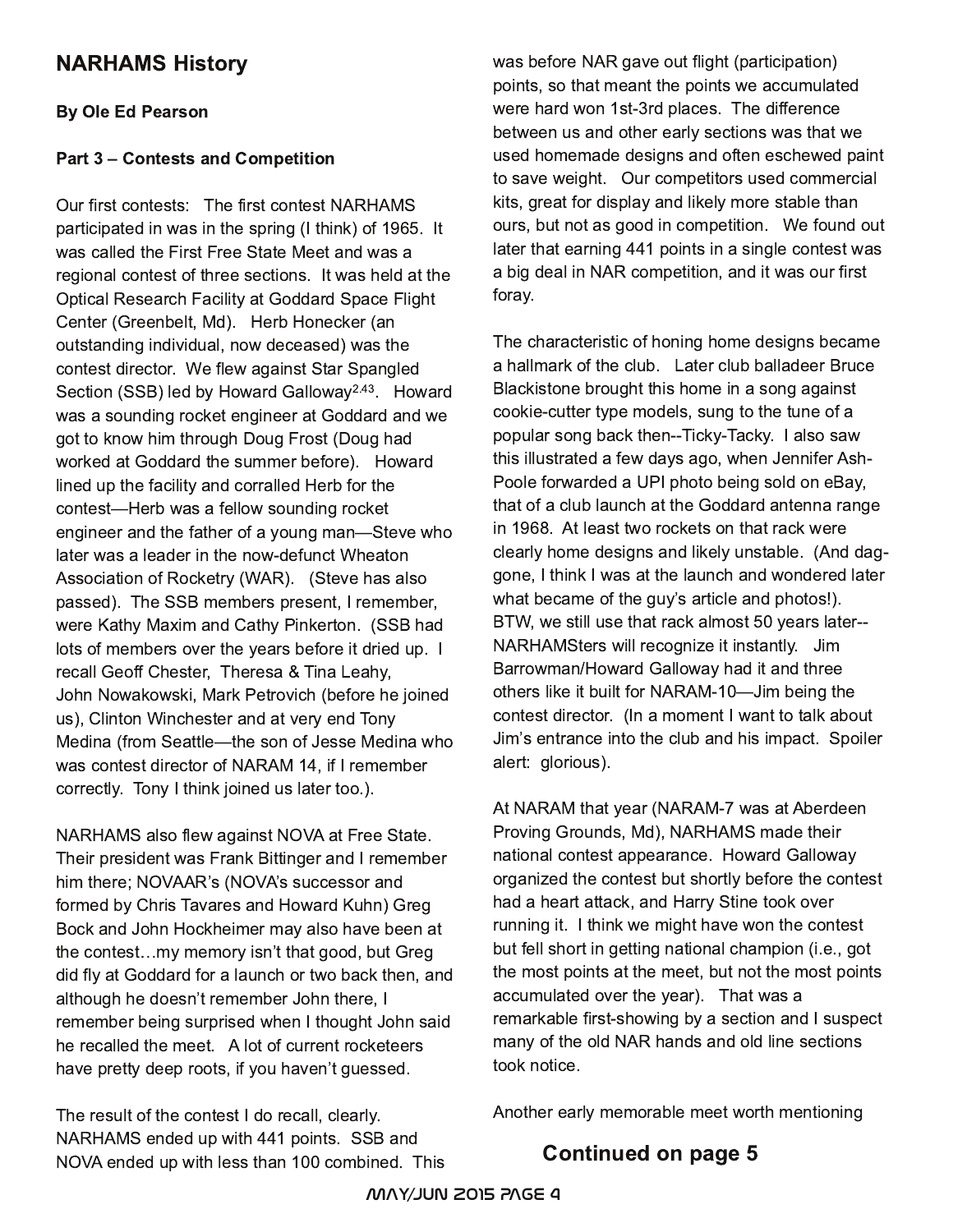# **NARHAMS History**

#### **By Ole Ed Pearson**

#### Part 3 – Contests and Competition

Our first contests: The first contest NARHAMS participated in was in the spring (I think) of 1965. It was called the First Free State Meet and was a regional contest of three sections. It was held at the Optical Research Facility at Goddard Space Flight Center (Greenbelt, Md). Herb Honecker (an outstanding individual, now deceased) was the contest director. We flew against Star Spangled Section (SSB) led by Howard Galloway<sup>2.43</sup>. Howard was a sounding rocket engineer at Goddard and we got to know him through Doug Frost (Doug had worked at Goddard the summer before). Howard lined up the facility and corralled Herb for the contest—Herb was a fellow sounding rocket engineer and the father of a young man-Steve who later was a leader in the now-defunct Wheaton Association of Rocketry (WAR). (Steve has also passed). The SSB members present, I remember, were Kathy Maxim and Cathy Pinkerton. (SSB had lots of members over the years before it dried up. I ! recall Geoff Chester, Theresa & Tina Leahy, John Nowakowski, Mark Petrovich (before he joined us), Clinton Winchester and at very end Tony Medina (from Seattle-the son of Jesse Medina who was contest director of NARAM 14, if I remember correctly. Tony I think joined us later too.).

NARHAMS also flew against NOVA at Free State. Their president was Frank Bittinger and I remember him there; NOVAAR's (NOVA's successor and formed by Chris Tavares and Howard Kuhn) Greg Bock and John Hockheimer may also have been at the contest...my memory isn't that good, but Greg did fly at Goddard for a launch or two back then, and although he doesn't remember John there, I remember being surprised when I thought John said he recalled the meet.  $\,$  A lot of current rocketeers have pretty deep roots, if you haven't guessed.

The result of the contest I do recall, clearly. NARHAMS ended up with 441 points. SSB and NOVA ended up with less than 100 combined. This was before NAR gave out flight (participation) points, so that meant the points we accumulated were hard won 1st-3rd places. The difference between us and other early sections was that we used homemade designs and often eschewed paint to save weight. Our competitors used commercial kits, great for display and likely more stable than ours, but not as good in competition. We found out later that earning 441 points in a single contest was a big deal in NAR competition, and it was our first foray.

The characteristic of honing home designs became a hallmark of the club. Later club balladeer Bruce Blackistone brought this home in a song against cookie-cutter type models, sung to the tune of a popular song back then--Ticky-Tacky. I also saw this illustrated a few days ago, when Jennifer Ash-Poole forwarded a UPI photo being sold on eBay, that of a club launch at the Goddard antenna range in 1968. At least two rockets on that rack were clearly home designs and likely unstable. (And daggone, I think I was at the launch and wondered later what became of the guy's article and photos!). BTW, we still use that rack almost 50 years later--NARHAMSters will recognize it instantly.  $\,$  Jim  $\,$ Barrowman/Howard Galloway had it and three others like it built for NARAM-10-Jim being the contest director. (In a moment I want to talk about Jim's entrance into the club and his impact. Spoiler alert: glorious).

At NARAM that year (NARAM-7 was at Aberdeen Proving Grounds, Md), NARHAMS made their national contest appearance. Howard Galloway organized the contest but shortly before the contest had a heart attack, and Harry Stine took over running it. I think we might have won the contest but fell short in getting national champion (i.e., got the most points at the meet, but not the most points accumulated over the year). That was a remarkable first-showing by a section and I suspect many of the old NAR hands and old line sections took notice.

Another early memorable meet worth mentioning

# Continued on page 5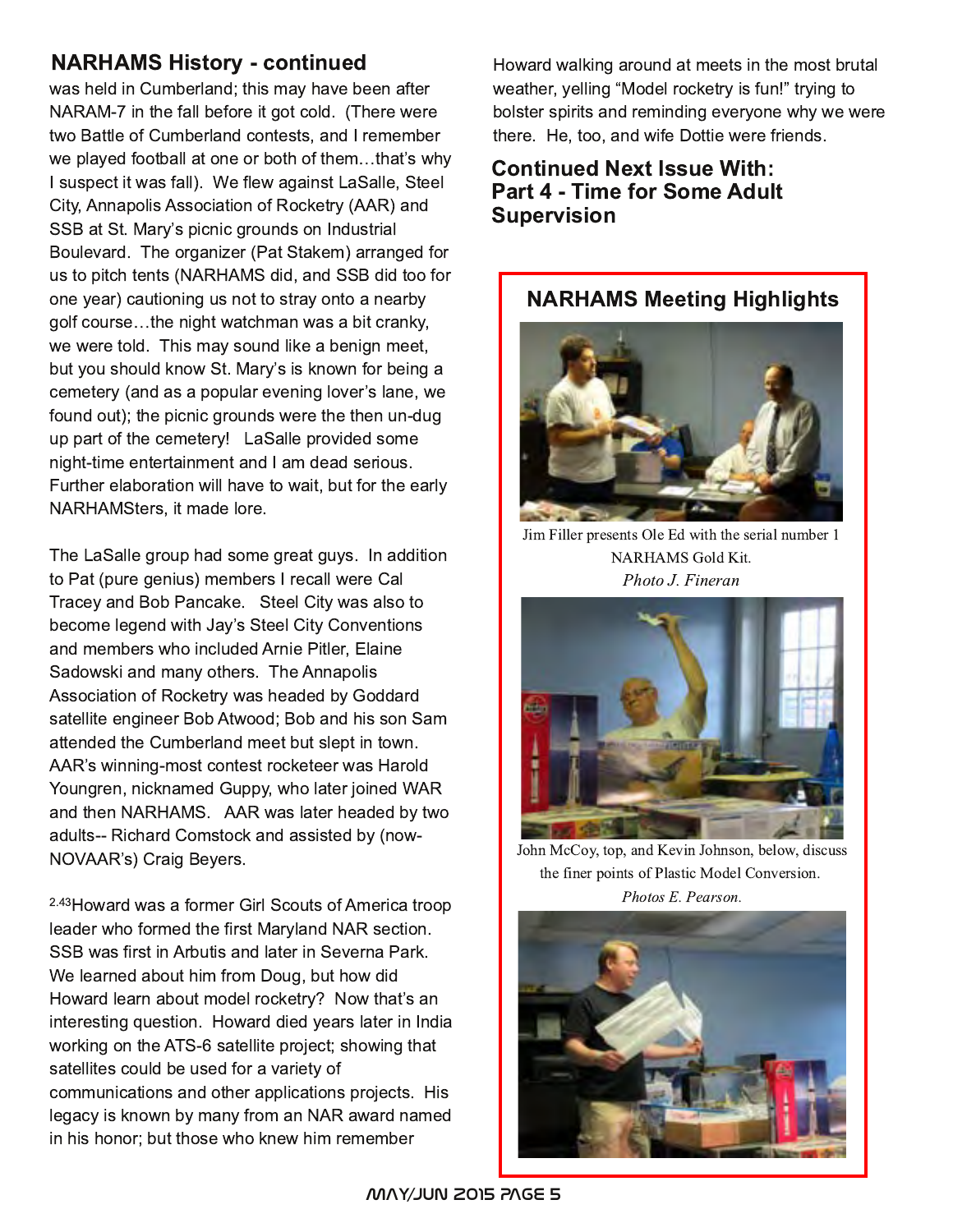# NARHAMS History - continued

was held in Cumberland; this may have been after NARAM-7 in the fall before it got cold. (There were two Battle of Cumberland contests, and I remember we played football at one or both of them...that's why I suspect it was fall). We flew against LaSalle, Steel City, Annapolis Association of Rocketry (AAR) and SSB at St. Mary's picnic grounds on Industrial Boulevard. The organizer (Pat Stakem) arranged for us to pitch tents (NARHAMS did, and SSB did too for one year) cautioning us not to stray onto a nearby golf course...the night watchman was a bit cranky, we were told. This may sound like a benign meet, but you should know St. Mary's is known for being a cemetery (and as a popular evening lover's lane, we found out); the picnic grounds were the then un-dug up part of the cemetery! LaSalle provided some night-time entertainment and I am dead serious. Further elaboration will have to wait, but for the early NARHAMSters, it made lore.

The LaSalle group had some great guys. In addition to Pat (pure genius) members I recall were Cal Tracey and Bob Pancake. Steel City was also to become legend with Jay's Steel City Conventions and members who included Arnie Pitler, Elaine Sadowski and many others. The Annapolis Association of Rocketry was headed by Goddard satellite engineer Bob Atwood; Bob and his son Sam attended the Cumberland meet but slept in town. AAR's winning-most contest rocketeer was Harold Youngren, nicknamed Guppy, who later joined WAR and then NARHAMS. AAR was later headed by two adults-- Richard Comstock and assisted by (now-NOVAAR's) Craig Beyers.

<sup>2.43</sup>Howard was a former Girl Scouts of America troop leader who formed the first Maryland NAR section. SSB was first in Arbutis and later in Severna Park. We learned about him from Doug, but how did Howard learn about model rocketry? Now that's an interesting question. Howard died years later in India working on the ATS-6 satellite project; showing that satellites could be used for a variety of communications and other applications projects. His legacy is known by many from an NAR award named in his honor; but those who knew him remember

Howard walking around at meets in the most brutal weather, yelling "Model rocketry is fun!" trying to bolster spirits and reminding everyone why we were there. He, too, and wife Dottie were friends.

## **Continued Next Issue With:** Part 4 - Time for Some Adult Supervision

## NARHAMS Meeting Highlights



Jim Filler presents Ole Ed with the serial number 1 NARHAMS Gold Kit. Photo J. Fineran



John McCoy, top, and Kevin Johnson, below, discuss the finer points of Plastic Model Conversion. Photos E. Pearson.

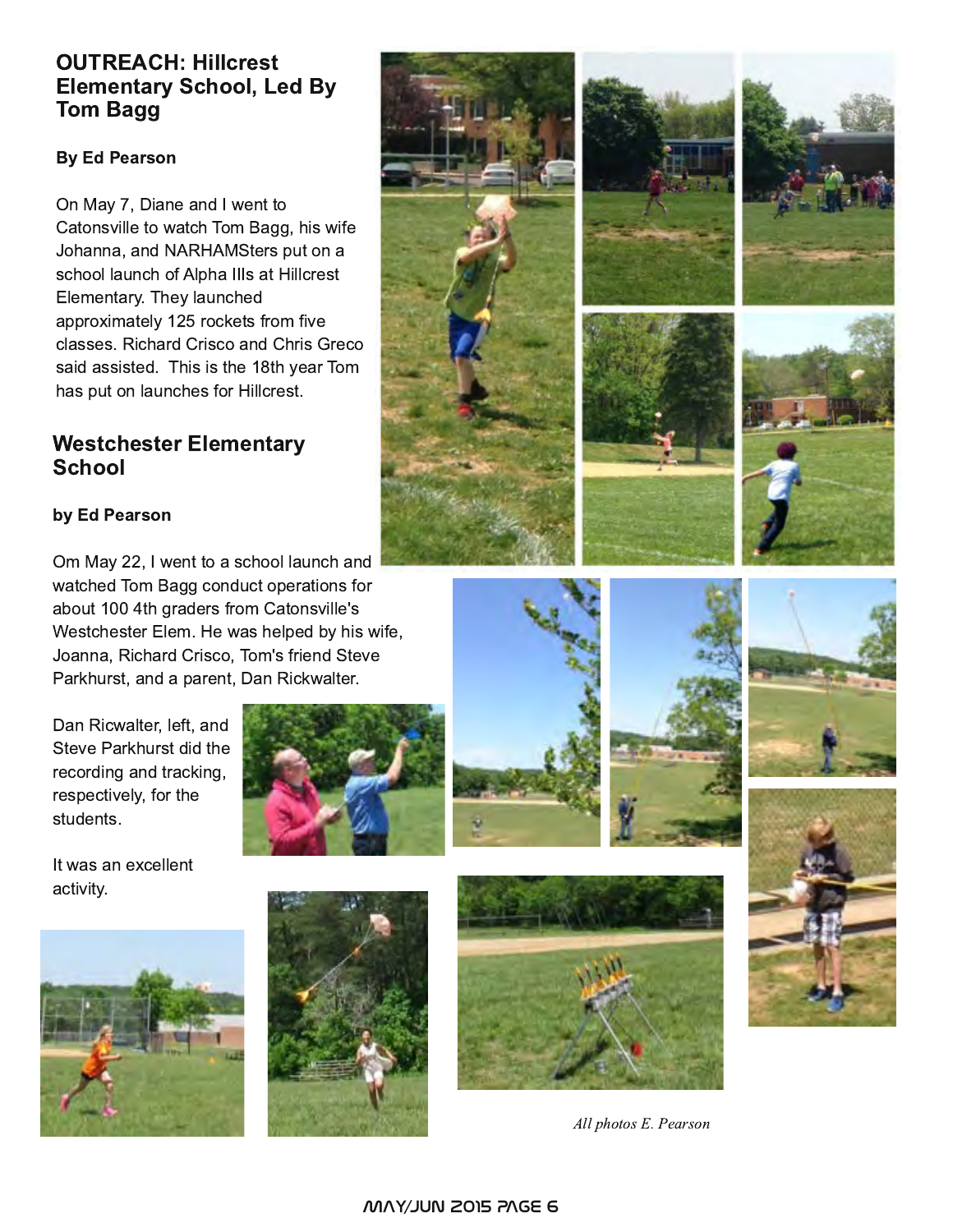# OUTREACH: Hillcrest Elementary School, Led By Tom Bagg

#### **By Ed Pearson**

On May 7, Diane and I went to Catonsville to watch Tom Bagg, his wife Johanna, and NARHAMSters put on a school launch of Alpha IIIs at Hillcrest Elementary. They launched approximately 125 rockets from five classes. Richard Crisco and Chris Greco said assisted. This is the 18th year Tom has put on launches for Hillcrest.

# **Westchester Elementary School**

#### by Ed Pearson

Om May 22, I went to a school launch and watched Tom Bagg conduct operations for about 100 4th graders from Catonsville's Westchester Elem. He was helped by his wife, Joanna, Richard Crisco, Tom's friend Steve Parkhurst, and a parent, Dan Rickwalter.

Dan Ricwalter, left, and Steve Parkhurst did the recording and tracking, respectively, for the students.

It was an excellent activity.



















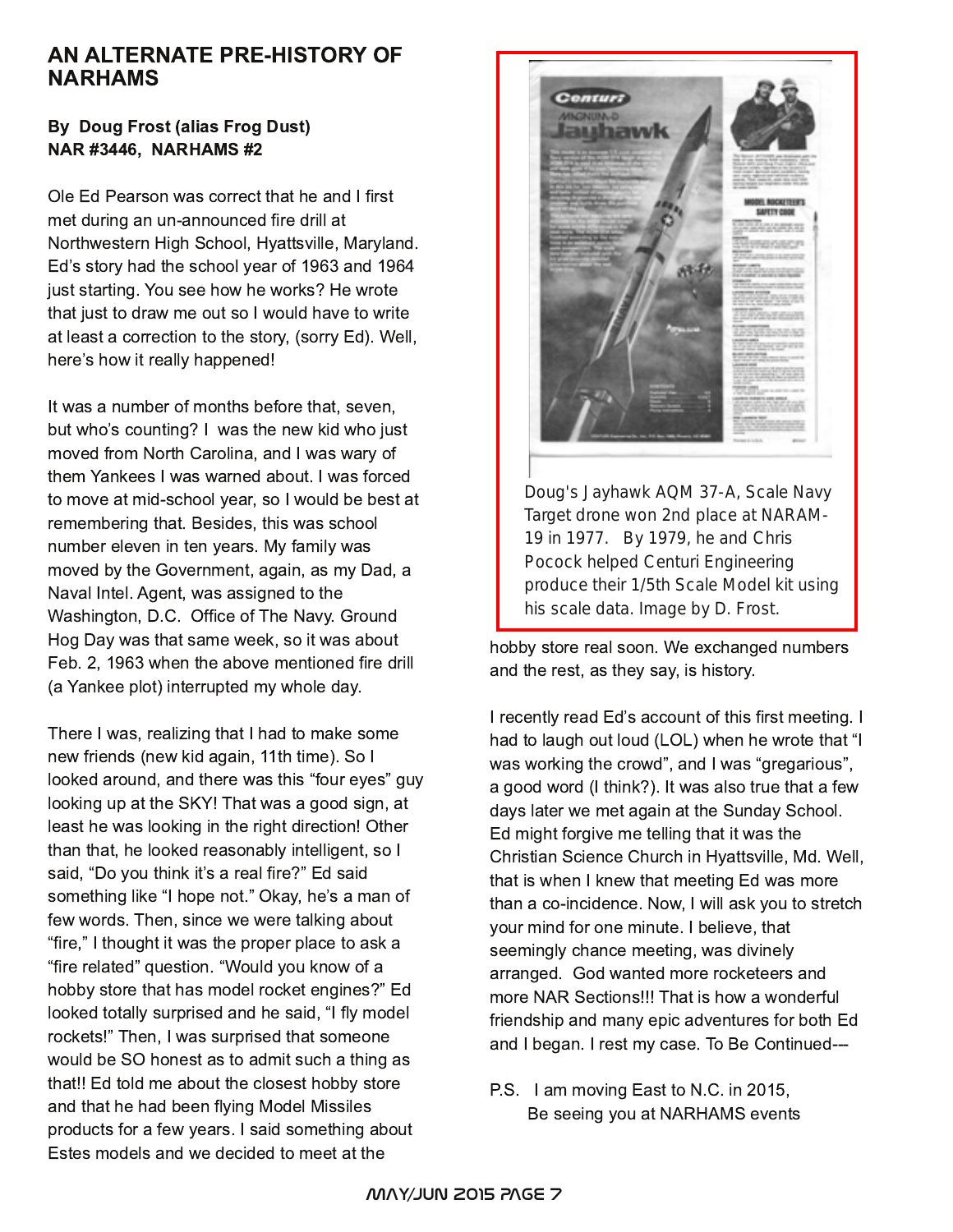# AN ALTERNATE PRE-HISTORY OF **NARHAMS**

#### **By Doug Frost (alias Frog Dust) NAR #3446, NARHAMS #2**

Ole Ed Pearson was correct that he and I first met during an un-announced fire drill at Northwestern High School, Hyattsville, Maryland. Ed's story had the school year of 1963 and 1964 just starting. You see how he works? He wrote that just to draw me out so I would have to write at least a correction to the story, (sorry Ed). Well, here's how it really happened!

It was a number of months before that, seven, but who's counting? I was the new kid who just moved from North Carolina, and I was wary of them Yankees I was warned about. I was forced to move at mid-school year, so I would be best at remembering that. Besides, this was school number eleven in ten years. My family was moved by the Government, again, as my Dad, a Naval Intel. Agent, was assigned to the Washington, D.C. Office of The Navy. Ground Hog Day was that same week, so it was about Feb. 2, 1963 when the above mentioned fire drill (a Yankee plot) interrupted my whole day.

There I was, realizing that I had to make some new friends (new kid again, 11th time). So I looked around, and there was this "four eyes" guy looking up at the SKY! That was a good sign, at least he was looking in the right direction! Other than that, he looked reasonably intelligent, so I said, "Do you think it's a real fire?" Ed said something like "I hope not." Okay, he's a man of few words. Then, since we were talking about "fire," I thought it was the proper place to ask a "fire related" question. "Would you know of a hobby store that has model rocket engines?" Ed looked totally surprised and he said, "I fly model rockets!" Then, I was surprised that someone would be SO honest as to admit such a thing as that!! Ed told me about the closest hobby store and that he had been flying Model Missiles products for a few years. I said something about Estes models and we decided to meet at the



hobby store real soon. We exchanged numbers and the rest, as they say, is history.

his scale data. Image by D. Frost.

I recently read Ed's account of this first meeting. I had to laugh out loud (LOL) when he wrote that "I was working the crowd", and I was "gregarious", a good word (I think?). It was also true that a few days later we met again at the Sunday School. Ed might forgive me telling that it was the Christian Science Church in Hyattsville, Md. Well, that is when I knew that meeting Ed was more than a co-incidence. Now, I will ask you to stretch your mind for one minute. I believe, that seemingly chance meeting, was divinely arranged. God wanted more rocketeers and more NAR Sections!!! That is how a wonderful friendship and many epic adventures for both Ed and I began. I rest my case. To Be Continued---

P.S. I am moving East to N.C. in 2015, Be seeing you at NARHAMS events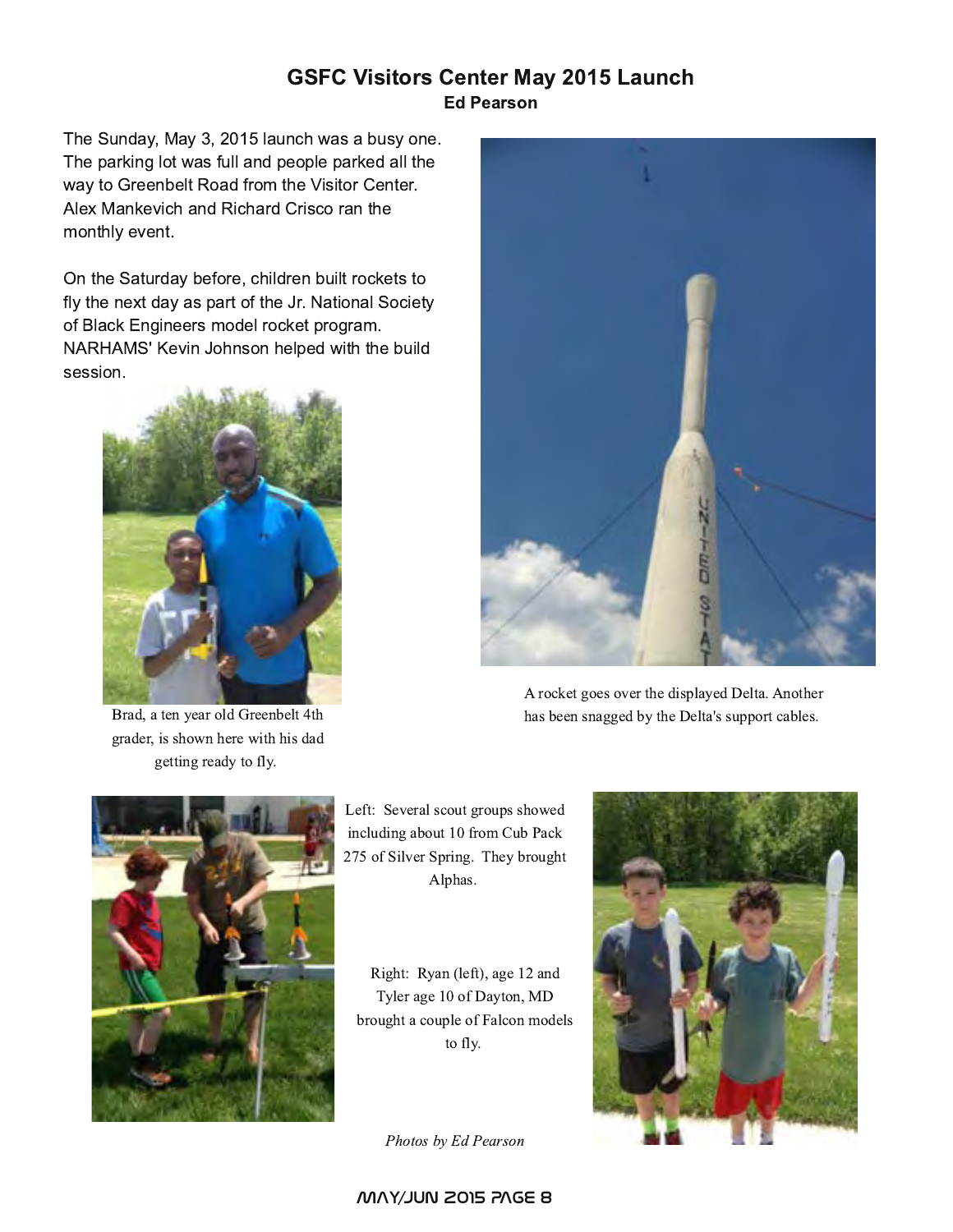# **GSFC Visitors Center May 2015 Launch Ed Pearson**

The Sunday, May 3, 2015 launch was a busy one. The parking lot was full and people parked all the way to Greenbelt Road from the Visitor Center. Alex Mankevich and Richard Crisco ran the monthly event.

On the Saturday before, children built rockets to fly the next day as part of the Jr. National Society of Black Engineers model rocket program. NARHAMS' Kevin Johnson helped with the build session.



Brad, a ten year old Greenbelt 4th grader, is shown here with his dad getting ready to fly.



A rocket goes over the displayed Delta. Another has been snagged by the Delta's support cables.



Left: Several scout groups showed including about 10 from Cub Pack 275 of Silver Spring. They brought Alphas.

Right: Ryan (left), age 12 and Tyler age 10 of Dayton, MD brought a couple of Falcon models to fly.

Photos by Ed Pearson

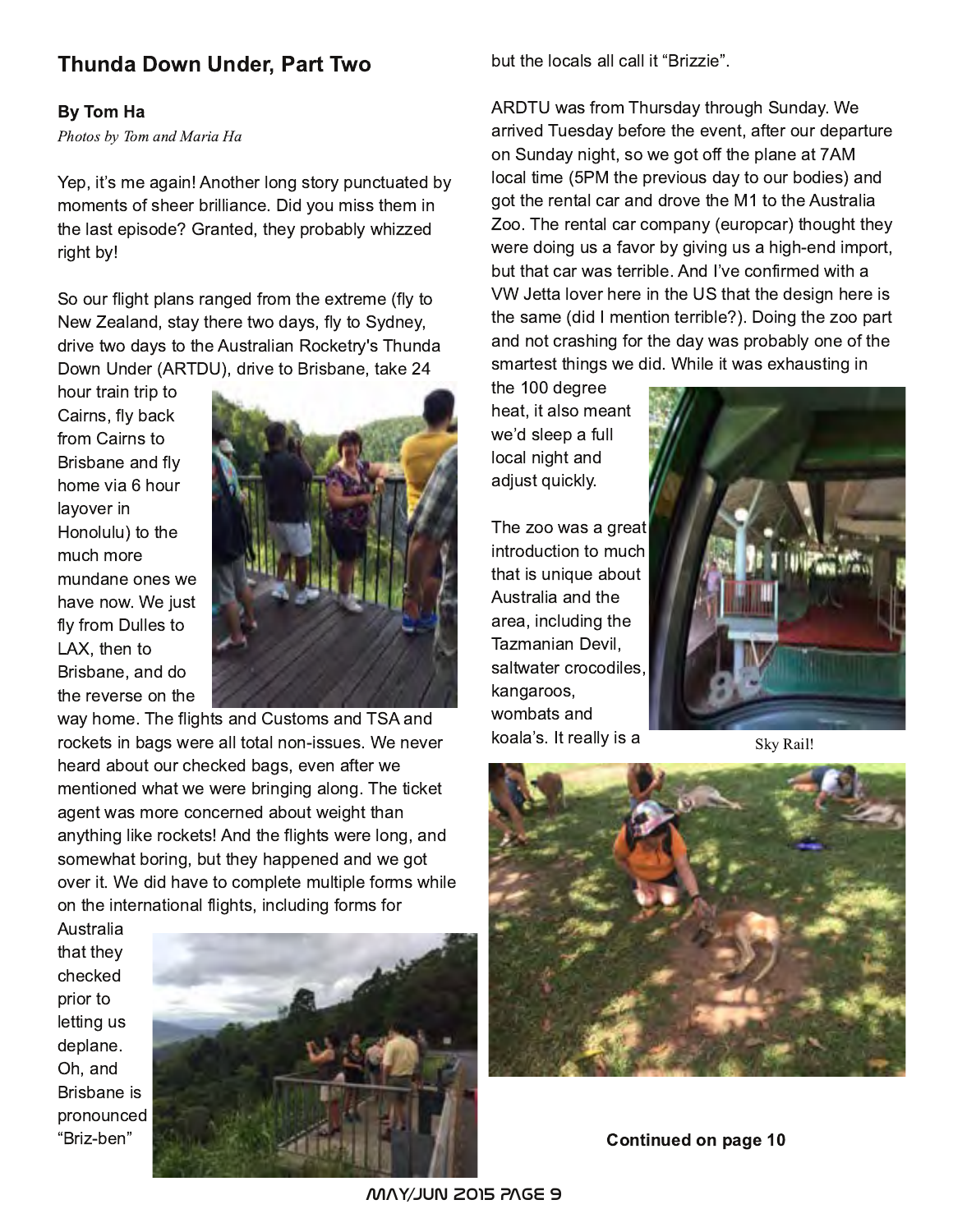# Thunda Down Under, Part Two

#### By Tom Ha

Photos by Tom and Maria Ha

Yep, it's me again! Another long story punctuated by moments of sheer brilliance. Did you miss them in the last episode? Granted, they probably whizzed right by!

So our flight plans ranged from the extreme (fly to New Zealand, stay there two days, fly to Sydney, drive two days to the Australian Rocketry's Thunda Down Under (ARTDU), drive to Brisbane, take 24

hour train trip to Cairns, fly back from Cairns to Brisbane and fly home via 6 hour layover in Honolulu) to the much more mundane ones we have now. We just fly from Dulles to LAX, then to Brisbane, and do the reverse on the



way home. The flights and Customs and TSA and rockets in bags were all total non-issues. We never heard about our checked bags, even after we mentioned what we were bringing along. The ticket agent was more concerned about weight than anything like rockets! And the flights were long, and somewhat boring, but they happened and we got over it. We did have to complete multiple forms while on the international flights, including forms for

Australia that they checked prior to letting us deplane. Oh, and Brisbane is pronounced "Briz-ben"



but the locals all call it "Brizzie".

ARDTU was from Thursday through Sunday. We arrived Tuesday before the event, after our departure on Sunday night, so we got off the plane at 7AM local time (5PM the previous day to our bodies) and got the rental car and drove the M1 to the Australia Zoo. The rental car company (europcar) thought they were doing us a favor by giving us a high-end import, but that car was terrible. And I've confirmed with a VW Jetta lover here in the US that the design here is the same (did I mention terrible?). Doing the zoo part and not crashing for the day was probably one of the smartest things we did. While it was exhausting in

the 100 degree heat, it also meant we'd sleep a full local night and adjust quickly.

The zoo was a great introduction to much that is unique about Australia and the area, including the Tazmanian Devil. saltwater crocodiles, kangaroos, wombats and koala's. It really is a



Sky Rail!



Continued on page 10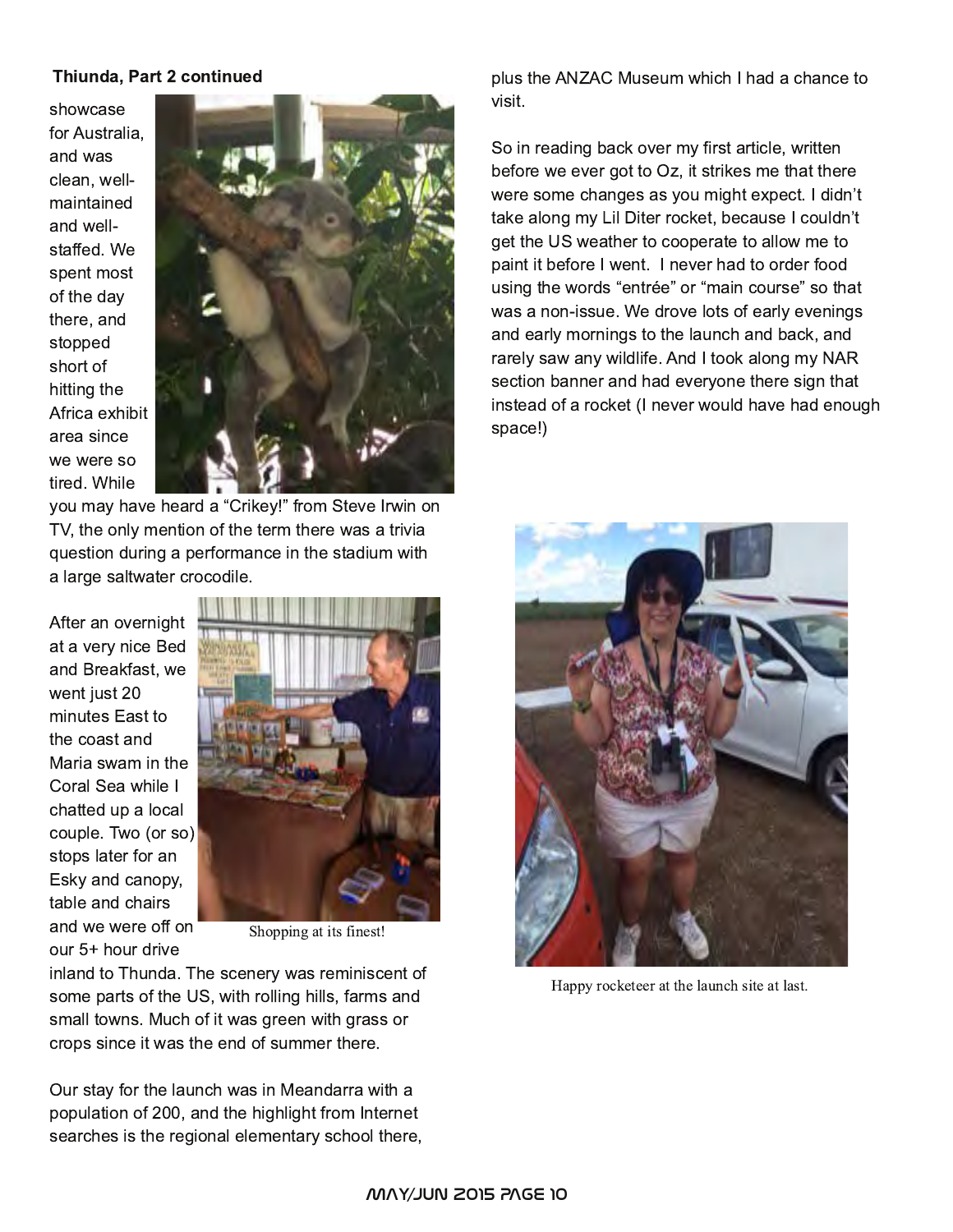#### Thiunda, Part 2 continued

showcase for Australia. and was clean, wellmaintained and wellstaffed. We spent most of the day there, and stopped short of hitting the Africa exhibit area since we were so tired. While



you may have heard a "Crikey!" from Steve Irwin on TV, the only mention of the term there was a trivia question during a performance in the stadium with a large saltwater crocodile.

After an overnight at a very nice Bed and Breakfast, we went just 20 minutes East to the coast and Maria swam in the Coral Sea while I chatted up a local couple. Two (or so) stops later for an Esky and canopy, table and chairs and we were off on our 5+ hour drive



Shopping at its finest!

inland to Thunda. The scenery was reminiscent of some parts of the US, with rolling hills, farms and small towns. Much of it was green with grass or crops since it was the end of summer there.

Our stay for the launch was in Meandarra with a population of 200, and the highlight from Internet searches is the regional elementary school there, plus the ANZAC Museum which I had a chance to visit.

So in reading back over my first article, written before we ever got to Oz, it strikes me that there were some changes as you might expect. I didn't take along my Lil Diter rocket, because I couldn't get the US weather to cooperate to allow me to paint it before I went. I never had to order food using the words "entrée" or "main course" so that was a non-issue. We drove lots of early evenings and early mornings to the launch and back, and rarely saw any wildlife. And I took along my NAR section banner and had everyone there sign that instead of a rocket (I never would have had enough space!)



Happy rocketeer at the launch site at last.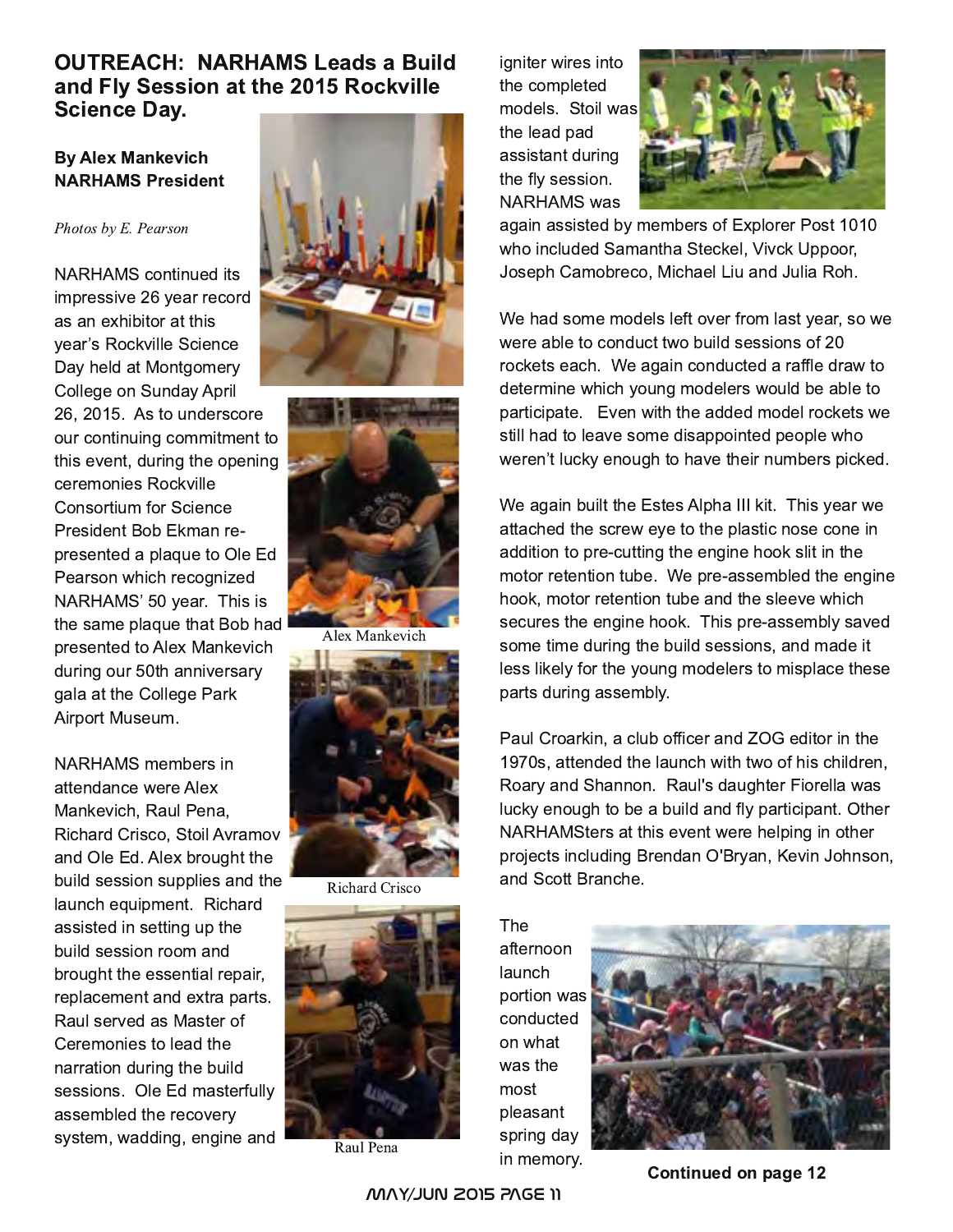# OUTREACH: NARHAMS Leads a Build and Fly Session at the 2015 Rockville Science Day.

#### **By Alex Mankevich** NARHAMS President

#### Photos by E. Pearson

NARHAMS continued its impressive 26 year record as an exhibitor at this vear's Rockville Science Day held at Montgomery College on Sunday April 26, 2015. As to underscore our continuing commitment to this event, during the opening ceremonies Rockville Consortium for Science President Bob Ekman represented a plaque to Ole Ed Pearson which recognized NARHAMS' 50 year. This is the same plaque that Bob had presented to Alex Mankevich during our 50th anniversary gala at the College Park Airport Museum.

NARHAMS members in attendance were Alex Mankevich, Raul Pena, Richard Crisco, Stoil Avramov and Ole Ed. Alex brought the build session supplies and the launch equipment. Richard assisted in setting up the build session room and brought the essential repair, replacement and extra parts. Raul served as Master of Ceremonies to lead the narration during the build sessions. Ole Ed masterfully assembled the recovery system, wadding, engine and





Alex Mankevich



Richard Crisco



Raul Pena

igniter wires into the completed models. Stoil was the lead pad assistant during the fly session. NARHAMS was



again assisted by members of Explorer Post 1010 who included Samantha Steckel, Vivck Uppoor, Joseph Camobreco, Michael Liu and Julia Roh.

We had some models left over from last year, so we were able to conduct two build sessions of 20 rockets each. We again conducted a raffle draw to determine which young modelers would be able to participate. Even with the added model rockets we still had to leave some disappointed people who weren't lucky enough to have their numbers picked.

We again built the Estes Alpha III kit. This year we attached the screw eye to the plastic nose cone in addition to pre-cutting the engine hook slit in the motor retention tube. We pre-assembled the engine hook, motor retention tube and the sleeve which secures the engine hook. This pre-assembly saved some time during the build sessions, and made it less likely for the young modelers to misplace these parts during assembly.

Paul Croarkin, a club officer and ZOG editor in the 1970s, attended the launch with two of his children, Roary and Shannon. Raul's daughter Fiorella was lucky enough to be a build and fly participant. Other NARHAMSters at this event were helping in other projects including Brendan O'Bryan, Kevin Johnson, and Scott Branche.

The afternoon launch portion was conducted on what was the most pleasant spring day in memory.



Continued on page 12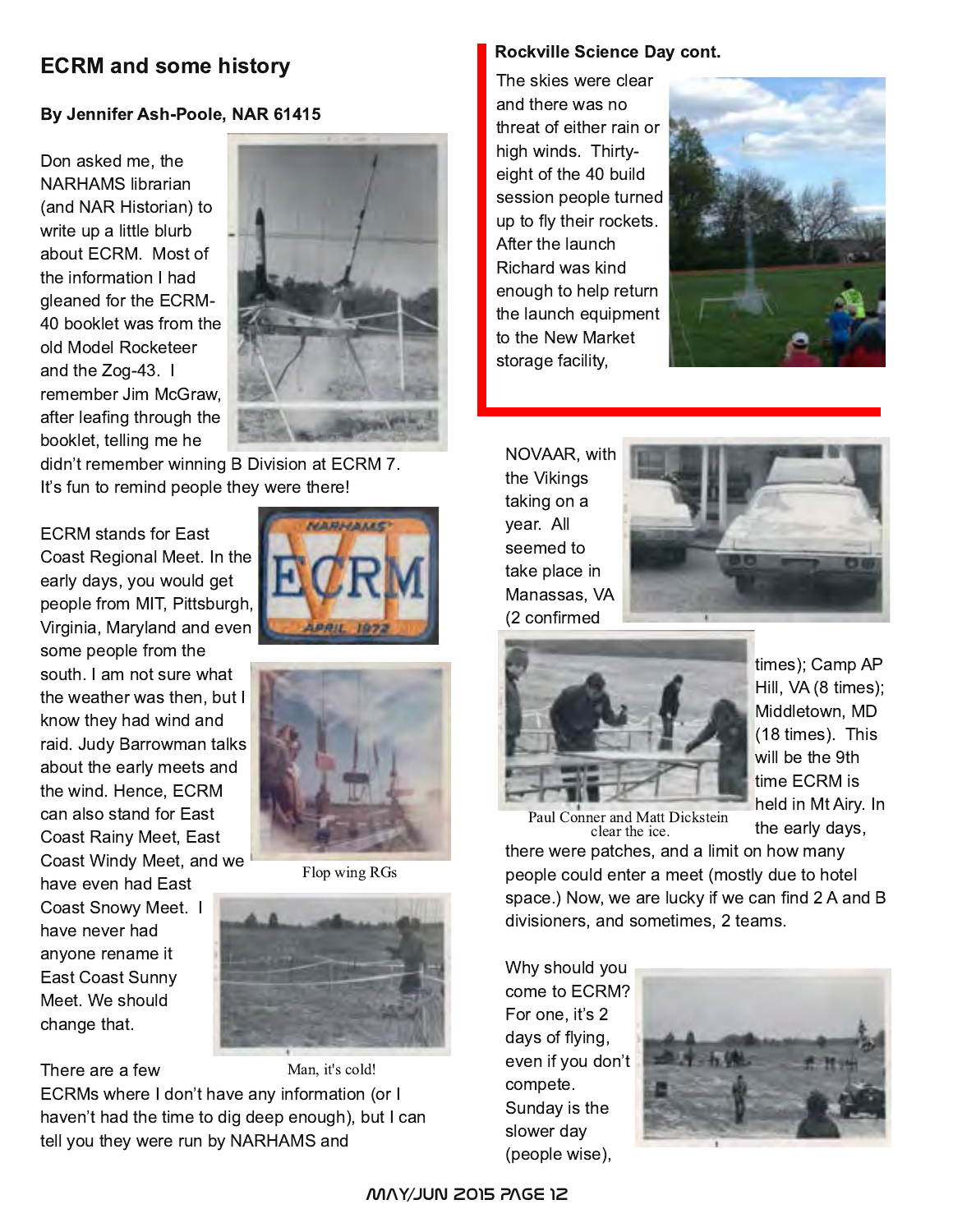# **ECRM and some history**

### By Jennifer Ash-Poole, NAR 61415

Don asked me, the **NARHAMS** librarian (and NAR Historian) to write up a little blurb about ECRM. Most of the information I had gleaned for the ECRM-40 booklet was from the old Model Rocketeer and the Zog-43. I remember Jim McGraw. after leafing through the booklet, telling me he



didn't remember winning B Division at ECRM 7. It's fun to remind people they were there!

**ECRM** stands for East Coast Regional Meet. In the early days, you would get people from MIT, Pittsburgh, Virginia, Maryland and even some people from the

south. I am not sure what the weather was then, but I know they had wind and raid. Judy Barrowman talks about the early meets and the wind. Hence. ECRM can also stand for East **Coast Rainy Meet, East** Coast Windy Meet, and we

have even had East Coast Snowy Meet. I have never had anyone rename it **East Coast Sunny** Meet. We should change that.





Flop wing RGs



Man, it's cold! There are a few ECRMs where I don't have any information (or I haven't had the time to dig deep enough), but I can tell you they were run by NARHAMS and

#### **Rockville Science Day cont.**

The skies were clear and there was no threat of either rain or high winds. Thirtyeight of the 40 build session people turned up to fly their rockets. After the launch Richard was kind enough to help return the launch equipment to the New Market storage facility,



NOVAAR, with the Vikings taking on a year. All seemed to take place in Manassas, VA (2 confirmed





times); Camp AP Hill, VA (8 times); Middletown, MD (18 times). This will be the 9th time ECRM is held in Mt Airy. In the early days,

Paul Conner and Matt Dickstein clear the ice.

there were patches, and a limit on how many people could enter a meet (mostly due to hotel space.) Now, we are lucky if we can find 2 A and B divisioners, and sometimes, 2 teams.

Why should you come to ECRM? For one, it's 2 days of flying, even if you don't compete. Sunday is the slower day (people wise),

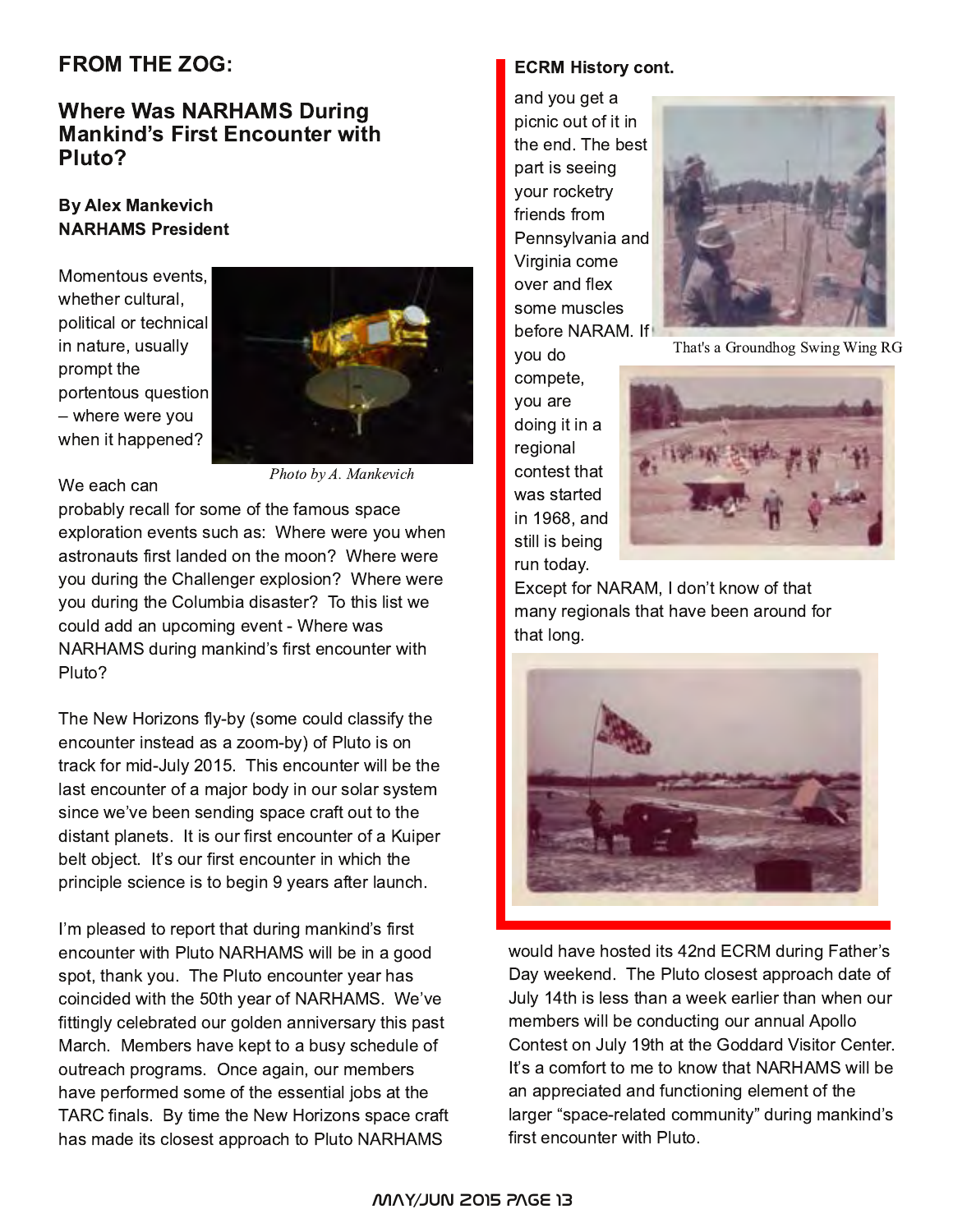# **FROM THE ZOG:**

# **Where Was NARHAMS During Mankind's First Encounter with** Pluto?

#### **By Alex Mankevich NARHAMS President**

Momentous events. whether cultural. political or technical in nature, usually prompt the portentous question - where were you when it happened?



We each can

Photo by A. Mankevich

probably recall for some of the famous space exploration events such as: Where were you when astronauts first landed on the moon? Where were you during the Challenger explosion? Where were you during the Columbia disaster? To this list we could add an upcoming event - Where was NARHAMS during mankind's first encounter with Pluto?

The New Horizons fly-by (some could classify the encounter instead as a zoom-by) of Pluto is on track for mid-July 2015. This encounter will be the last encounter of a major body in our solar system since we've been sending space craft out to the distant planets. It is our first encounter of a Kuiper belt object. It's our first encounter in which the principle science is to begin 9 years after launch.

I'm pleased to report that during mankind's first encounter with Pluto NARHAMS will be in a good spot, thank you. The Pluto encounter year has coincided with the 50th year of NARHAMS. We've fittingly celebrated our golden anniversary this past March. Members have kept to a busy schedule of outreach programs. Once again, our members have performed some of the essential jobs at the TARC finals. By time the New Horizons space craft has made its closest approach to Pluto NARHAMS

#### ECRM History cont.

and you get a picnic out of it in the end. The best part is seeing your rocketry friends from Pennsylvania and Virginia come over and flex some muscles before NARAM. If you do



That's a Groundhog Swing Wing RG

compete, you are doing it in a regional contest that was started in 1968, and still is being run today.



Except for NARAM, I don't know of that many regionals that have been around for that long.



would have hosted its 42nd ECRM during Father's Day weekend. The Pluto closest approach date of July 14th is less than a week earlier than when our members will be conducting our annual Apollo Contest on July 19th at the Goddard Visitor Center. It's a comfort to me to know that NARHAMS will be an appreciated and functioning element of the larger "space-related community" during mankind's first encounter with Pluto.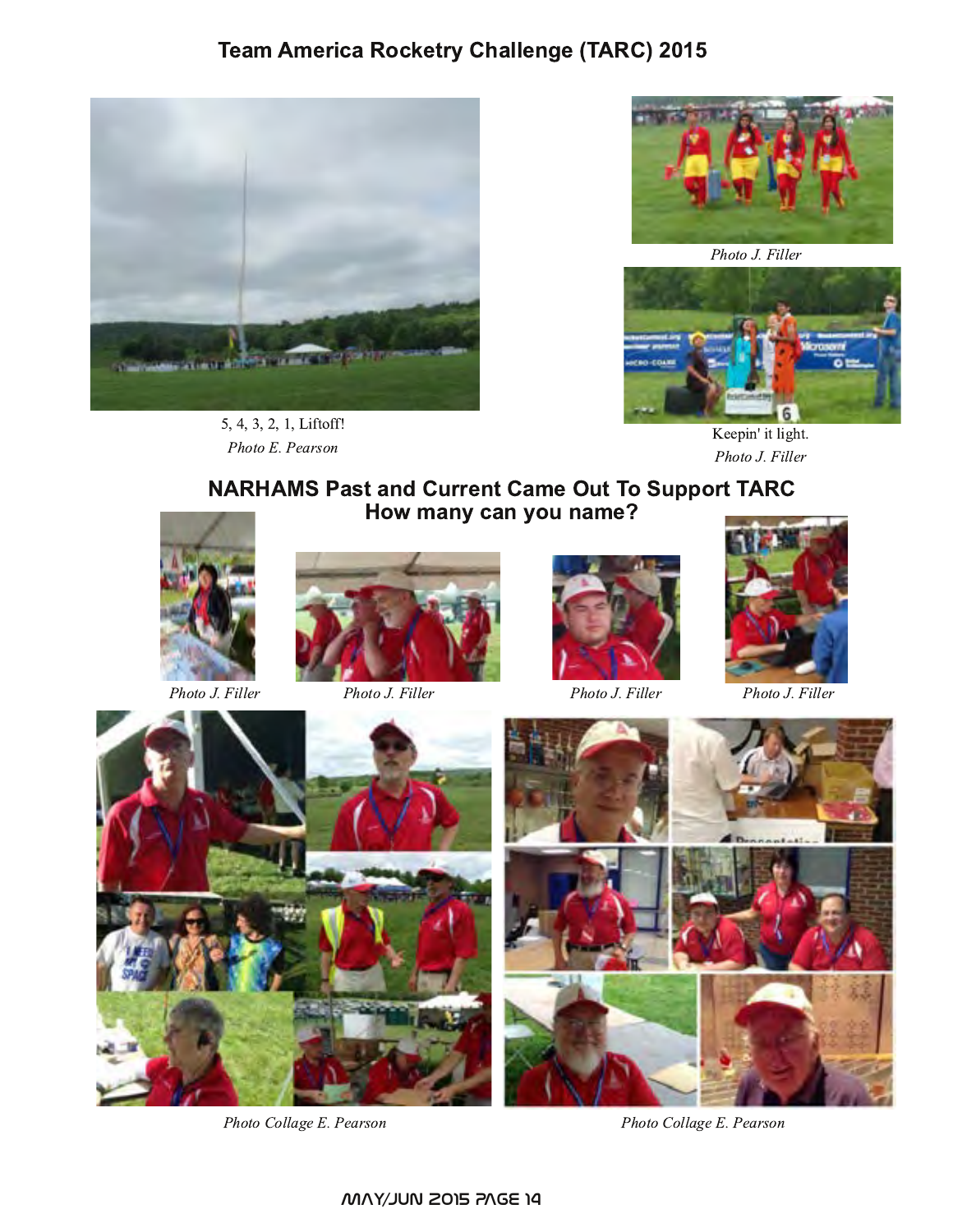# **Team America Rocketry Challenge (TARC) 2015**



5, 4, 3, 2, 1, Liftoff! Photo E. Pearson



Photo J. Filler



Keepin' it light. Photo J. Filler

# **NARHAMS Past and Current Came Out To Support TARC** How many can you name?



Photo J. Filler



Photo J. Filler



Photo J. Filler



Photo J. Filler



Photo Collage E. Pearson



Photo Collage E. Pearson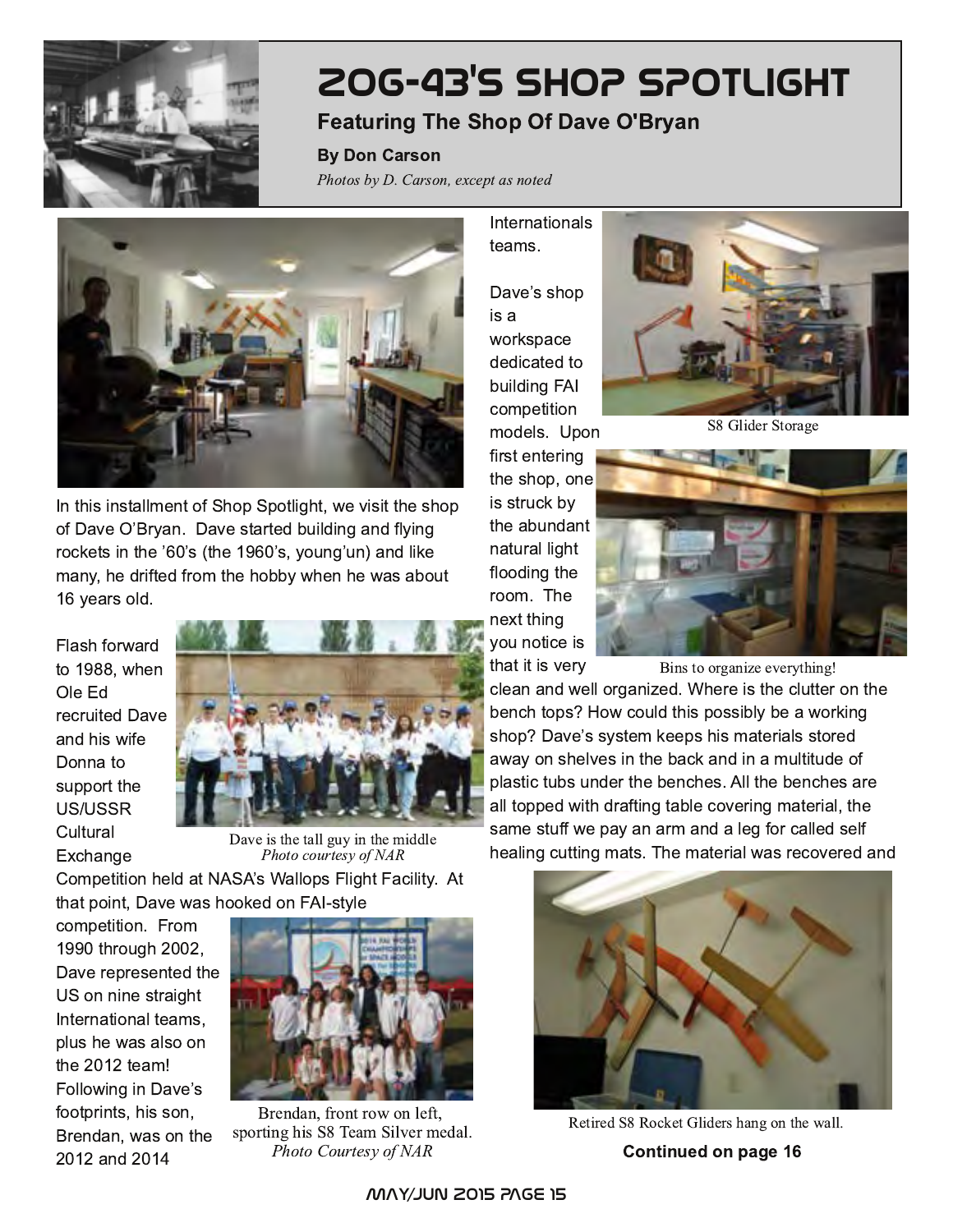

# **ZOG-43's SHOP SPOTLIGHT**

# **Featuring The Shop Of Dave O'Bryan**

**By Don Carson** 

Photos by D. Carson, except as noted



In this installment of Shop Spotlight, we visit the shop of Dave O'Bryan. Dave started building and flying rockets in the '60's (the 1960's, young'un) and like many, he drifted from the hobby when he was about 16 years old.

Flash forward to 1988, when Ole Ed recruited Dave and his wife Donna to support the US/USSR Cultural Exchange



Dave is the tall guy in the middle Photo courtesy of NAR

Competition held at NASA's Wallops Flight Facility. At that point, Dave was hooked on FAI-style

competition. From 1990 through 2002, Dave represented the US on nine straight International teams, plus he was also on the 2012 team! Following in Dave's footprints, his son, Brendan, was on the 2012 and 2014



Brendan, front row on left, sporting his S8 Team Silver medal. Photo Courtesy of NAR

**Internationals** teams.

Dave's shop is a workspace dedicated to building FAI competition

models. Upon first entering the shop, one is struck by the abundant natural light flooding the room. The next thing you notice is that it is very



S8 Glider Storage



Bins to organize everything!

clean and well organized. Where is the clutter on the bench tops? How could this possibly be a working shop? Dave's system keeps his materials stored away on shelves in the back and in a multitude of plastic tubs under the benches. All the benches are all topped with drafting table covering material, the same stuff we pay an arm and a leg for called self healing cutting mats. The material was recovered and



Retired S8 Rocket Gliders hang on the wall. Continued on page 16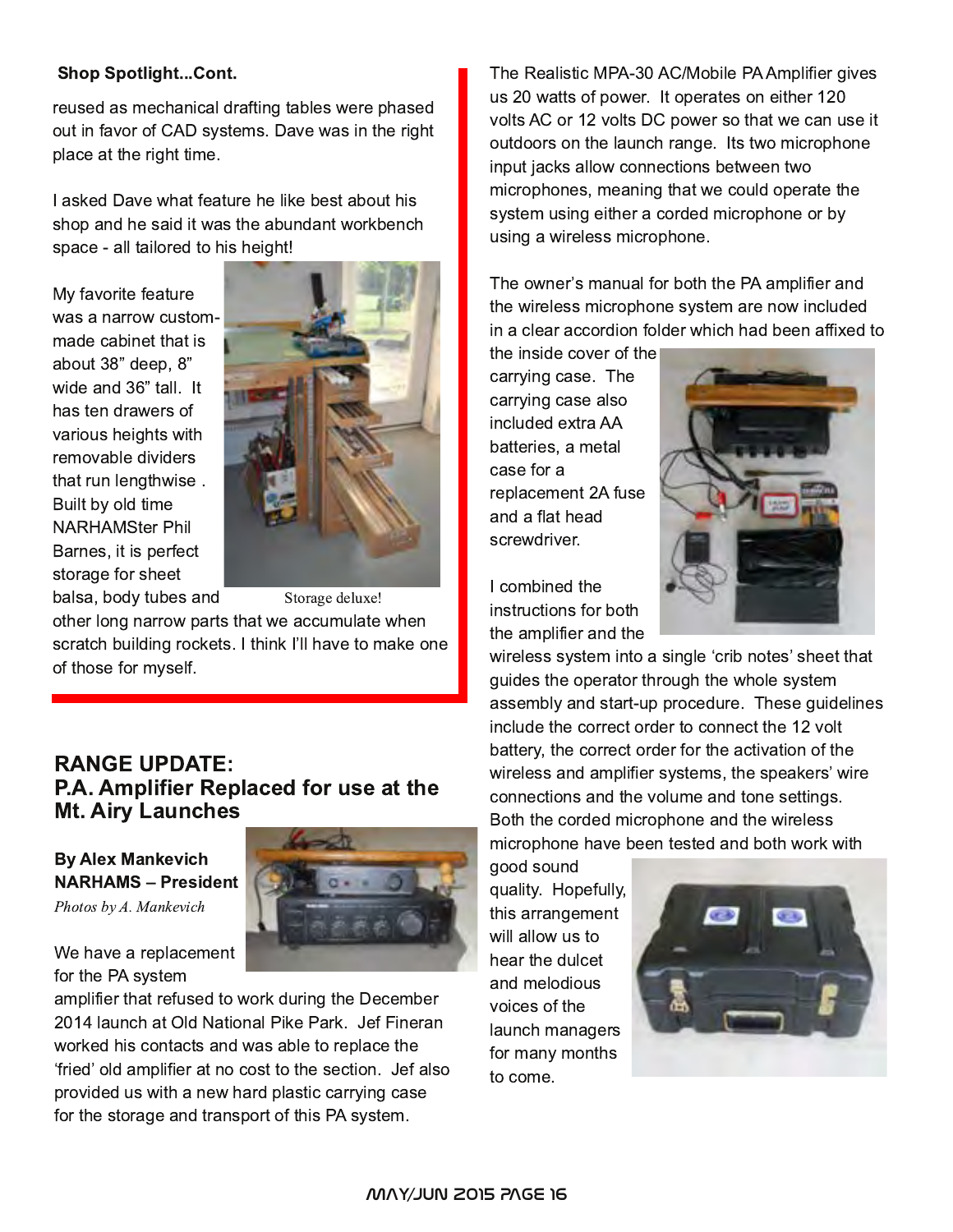#### **Shop Spotlight...Cont.**

reused as mechanical drafting tables were phased out in favor of CAD systems. Dave was in the right place at the right time.

I asked Dave what feature he like best about his shop and he said it was the abundant workbench space - all tailored to his height!

My favorite feature was a narrow custommade cabinet that is about 38" deep, 8" wide and 36" tall. It has ten drawers of various heights with removable dividers that run lengthwise. Built by old time **NARHAMSter Phil** Barnes, it is perfect storage for sheet balsa, body tubes and



Storage deluxe!

other long narrow parts that we accumulate when scratch building rockets. I think I'll have to make one of those for myself.

### **RANGE UPDATE:** P.A. Amplifier Replaced for use at the **Mt. Airy Launches**

**By Alex Mankevich NARHAMS - President** Photos by A. Mankevich

We have a replacement

for the PA system

amplifier that refused to work during the December 2014 launch at Old National Pike Park. Jef Fineran worked his contacts and was able to replace the 'fried' old amplifier at no cost to the section. Jef also provided us with a new hard plastic carrying case for the storage and transport of this PA system.



The Realistic MPA-30 AC/Mobile PA Amplifier gives us 20 watts of power. It operates on either 120 volts AC or 12 volts DC power so that we can use it outdoors on the launch range. Its two microphone input jacks allow connections between two microphones, meaning that we could operate the system using either a corded microphone or by using a wireless microphone.

The owner's manual for both the PA amplifier and the wireless microphone system are now included in a clear accordion folder which had been affixed to

the inside cover of the carrying case. The carrying case also included extra AA batteries, a metal case for a replacement 2A fuse and a flat head screwdriver.

I combined the instructions for both the amplifier and the



wireless system into a single 'crib notes' sheet that guides the operator through the whole system assembly and start-up procedure. These guidelines include the correct order to connect the 12 yolt battery, the correct order for the activation of the wireless and amplifier systems, the speakers' wire connections and the volume and tone settings. Both the corded microphone and the wireless microphone have been tested and both work with

good sound quality. Hopefully, this arrangement will allow us to hear the dulcet and melodious voices of the launch managers for many months to come.

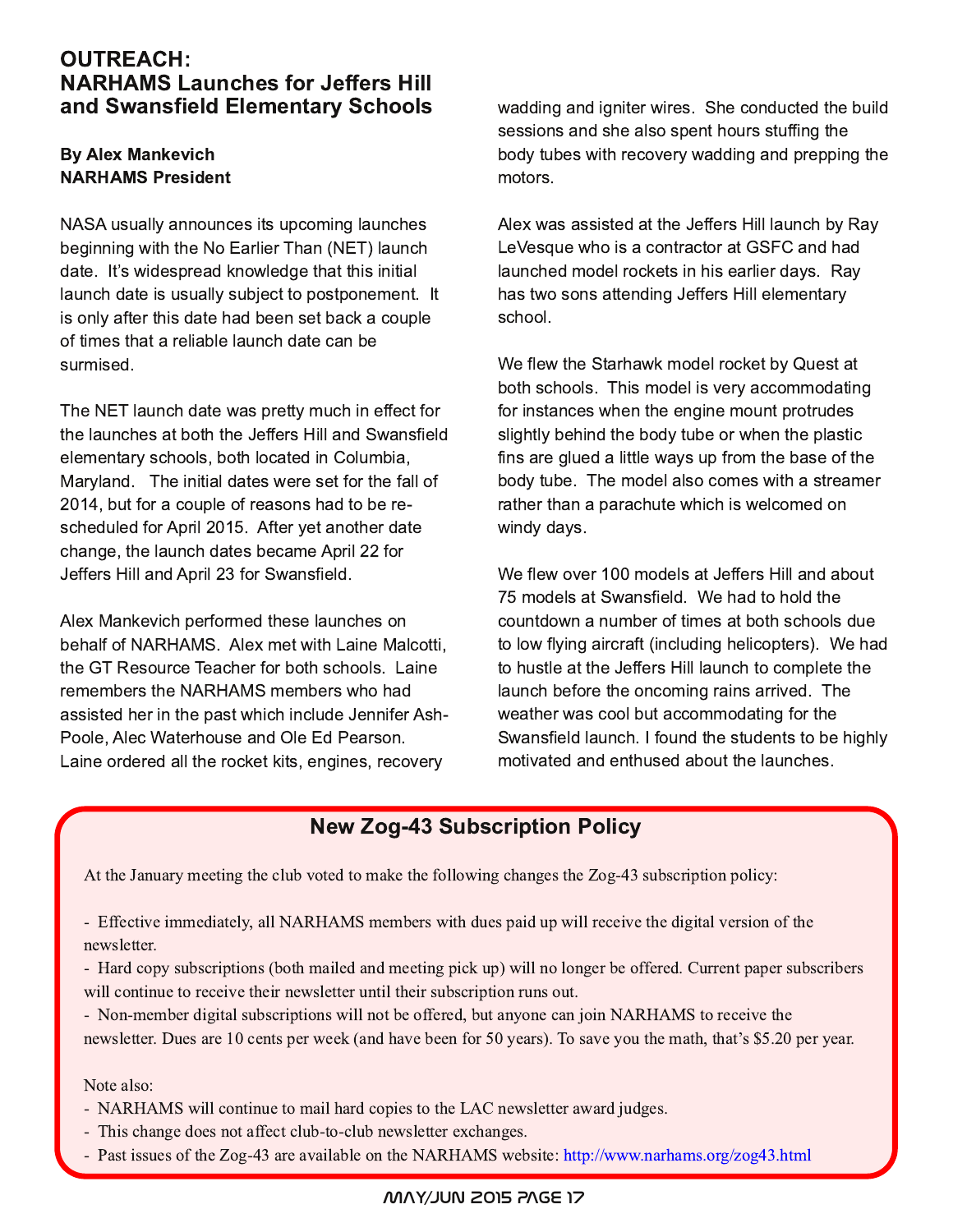## OUTREACH: NARHAMS Launches for Jeffers Hill and Swansfield Elementary Schools

#### **By Alex Mankevich NARHAMS President**

NASA usually announces its upcoming launches beginning with the No Earlier Than (NET) launch date. It's widespread knowledge that this initial launch date is usually subject to postponement. It is only after this date had been set back a couple of times that a reliable launch date can be surmised.

The NET launch date was pretty much in effect for the launches at both the Jeffers Hill and Swansfield elementary schools, both located in Columbia, Maryland. The initial dates were set for the fall of 2014, but for a couple of reasons had to be rescheduled for April 2015. After yet another date change, the launch dates became April 22 for Jeffers Hill and April 23 for Swansfield.

Alex Mankevich performed these launches on behalf of NARHAMS. Alex met with Laine Malcotti, the GT Resource Teacher for both schools. Laine remembers the NARHAMS members who had assisted her in the past which include Jennifer Ash-Poole, Alec Waterhouse and Ole Ed Pearson. Laine ordered all the rocket kits, engines, recovery

wadding and igniter wires. She conducted the build sessions and she also spent hours stuffing the body tubes with recovery wadding and prepping the motors.

Alex was assisted at the Jeffers Hill launch by Ray LeVesque who is a contractor at GSFC and had launched model rockets in his earlier days. Ray has two sons attending Jeffers Hill elementary school.

We flew the Starhawk model rocket by Quest at both schools. This model is very accommodating for instances when the engine mount protrudes slightly behind the body tube or when the plastic fins are glued a little ways up from the base of the body tube. The model also comes with a streamer rather than a parachute which is welcomed on windy days.

We flew over 100 models at Jeffers Hill and about 75 models at Swansfield. We had to hold the countdown a number of times at both schools due to low flying aircraft (including helicopters). We had to hustle at the Jeffers Hill launch to complete the launch before the oncoming rains arrived. The weather was cool but accommodating for the Swansfield launch. I found the students to be highly motivated and enthused about the launches.

# New Zog-43 Subscription Policy

At the January meeting the club voted to make the following changes the Zog-43 subscription policy:

- Effective immediately, all NARHAMS members with dues paid up will receive the digital version of the newsletter.

- Hard copy subscriptions (both mailed and meeting pick up) will no longer be offered. Current paper subscribers will continue to receive their newsletter until their subscription runs out.

- Non-member digital subscriptions will not be offered, but anyone can join NARHAMS to receive the newsletter. Dues are 10 cents per week (and have been for 50 years). To save you the math, that's \$5.20 per year.

Note also:

- NARHAMS will continue to mail hard copies to the LAC newsletter award judges.
- This change does not affect club-to-club newsletter exchanges.
- Past issues of the Zog-43 are available on the NARHAMS website: http://www.narhams.org/zog43.html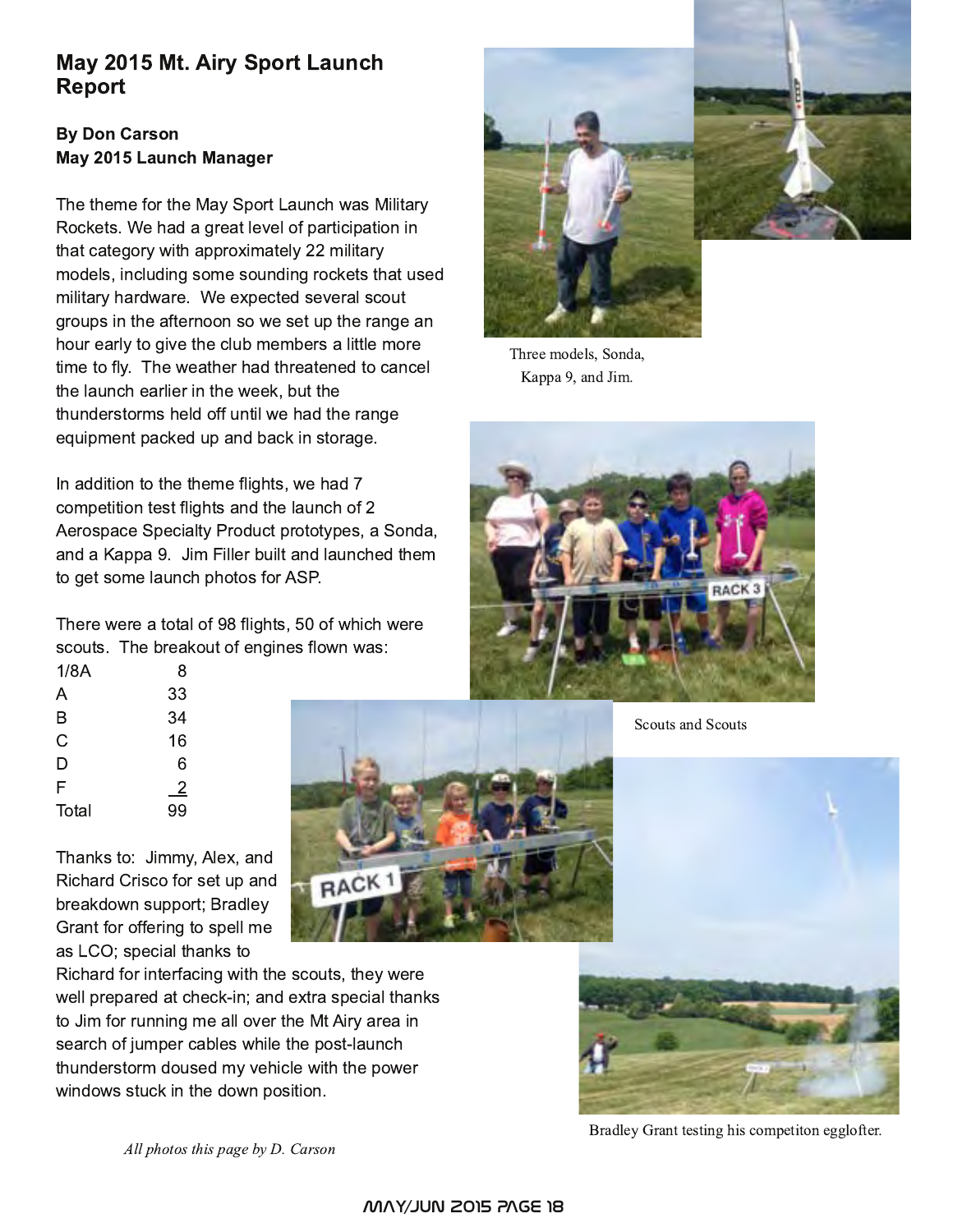# May 2015 Mt. Airy Sport Launch Report

### **By Don Carson** May 2015 Launch Manager

The theme for the May Sport Launch was Military Rockets. We had a great level of participation in that category with approximately 22 military models, including some sounding rockets that used military hardware. We expected several scout groups in the afternoon so we set up the range an hour early to give the club members a little more time to fly. The weather had threatened to cancel the launch earlier in the week, but the thunderstorms held off until we had the range equipment packed up and back in storage.

In addition to the theme flights, we had 7 competition test flights and the launch of 2 Aerospace Specialty Product prototypes, a Sonda, and a Kappa 9. Jim Filler built and launched them to get some launch photos for ASP.

There were a total of 98 flights, 50 of which were scouts. The breakout of engines flown was:

| 8              |
|----------------|
| 33             |
| 34             |
| 16             |
| 6              |
| $\overline{2}$ |
| 99             |
|                |

Thanks to: Jimmy, Alex, and Richard Crisco for set up and breakdown support; Bradley Grant for offering to spell me as LCO; special thanks to

Richard for interfacing with the scouts, they were well prepared at check-in; and extra special thanks to Jim for running me all over the Mt Airy area in search of jumper cables while the post-launch thunderstorm doused my vehicle with the power windows stuck in the down position.

RACK<sub>1</sub>



Three models, Sonda, Kappa 9, and Jim.



Scouts and Scouts



Bradley Grant testing his competiton egglofter.

All photos this page by D. Carson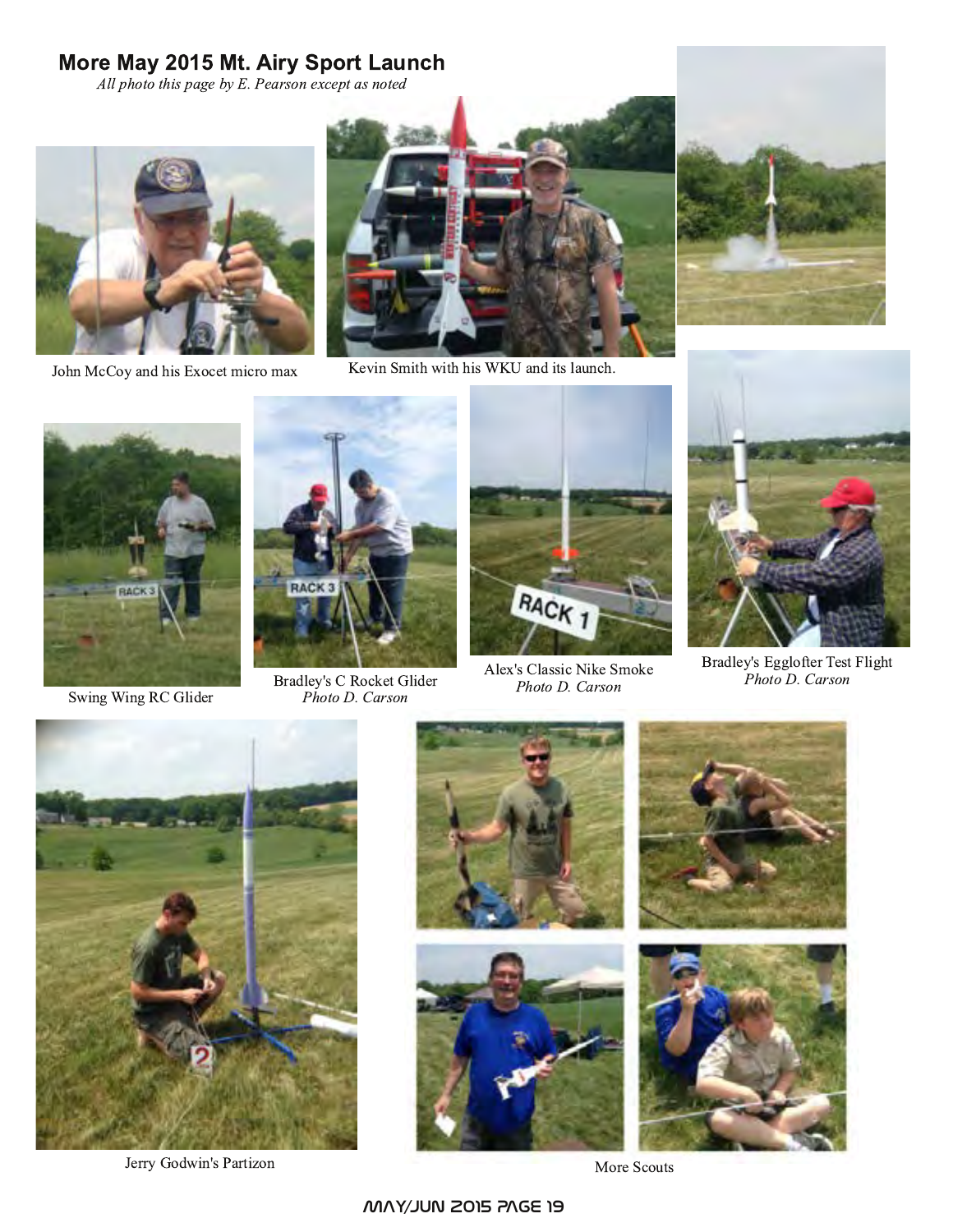# More May 2015 Mt. Airy Sport Launch

All photo this page by E. Pearson except as noted



John McCoy and his Exocet micro max



Kevin Smith with his WKU and its launch.



Swing Wing RC Glider



Bradley's C Rocket Glider<br>Photo D. Carson



Alex's Classic Nike Smoke Photo D. Carson



Bradley's Egglofter Test Flight Photo D. Carson



Jerry Godwin's Partizon



More Scouts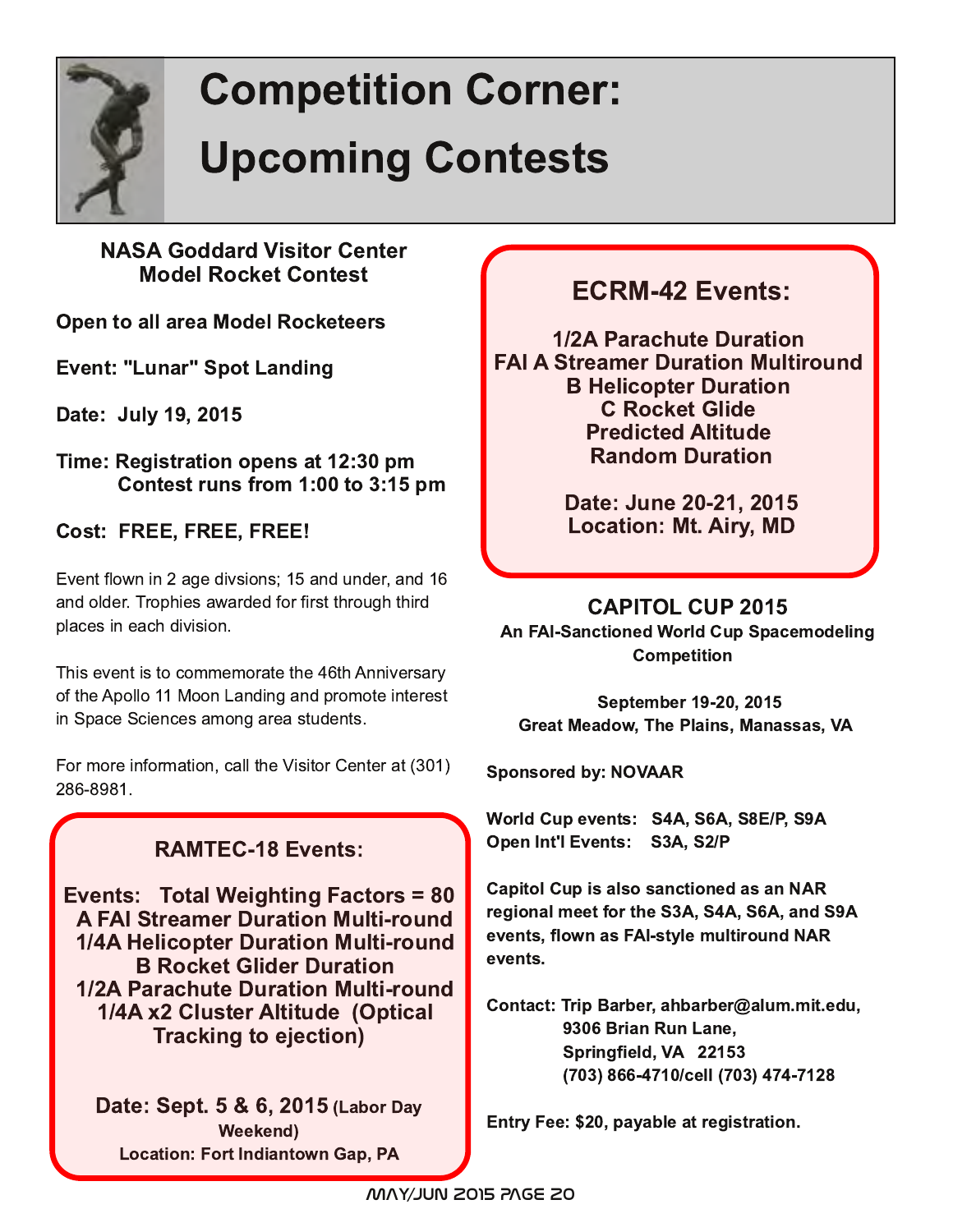

# **Competition Corner: Upcoming Contests**

# **NASA Goddard Visitor Center Model Rocket Contest**

Open to all area Model Rocketeers

Event: "Lunar" Spot Landing

Date: July 19, 2015

Time: Registration opens at 12:30 pm Contest runs from  $1:00$  to  $3:15$  pm

Cost: FREE, FREE, FREE!

Event flown in 2 age divsions; 15 and under, and 16 and older. Trophies awarded for first through third places in each division.

This event is to commemorate the 46th Anniversary of the Apollo 11 Moon Landing and promote interest in Space Sciences among area students.

For more information, call the Visitor Center at (301) 286-8981.

# RAMTEC-18 Events:

Events: Total Weighting Factors = 80 **A FAI Streamer Duration Multi-round** 1/4A Helicopter Duration Multi-round **B Rocket Glider Duration** 1/2A Parachute Duration Multi-round 1/4A x2 Cluster Altitude (Optical Tracking to ejection)

Date: Sept. 5 & 6, 2015 (Labor Day Weekend) Location: Fort Indiantown Gap, PA

# ECRM-42 Events:

1/2A Parachute Duration **FAI A Streamer Duration Multiround B Helicopter Duration C Rocket Glide Predicted Altitude Random Duration** 

> Date: June 20-21, 2015 Location: Mt. Airy, MD

CAPITOL CUP 2015

An FAI-Sanctioned World Cup Spacemodeling **Competition** 

September 19-20, 2015 Great Meadow, The Plains, Manassas, VA

Sponsored by: NOVAAR

World Cup events: S4A, S6A, S8E/P, S9A Open Int'l Events: S3A, S2/P

Capitol Cup is also sanctioned as an NAR regional meet for the S3A, S4A, S6A, and S9A events, flown as FAI-style multiround NAR events.

Contact: Trip Barber, ahbarber@alum.mit.edu, 9306 Brian Run Lane. Springfield, VA 22153 (703) 866-4710/cell (703) 474-7128

Entry Fee: \$20, payable at registration.